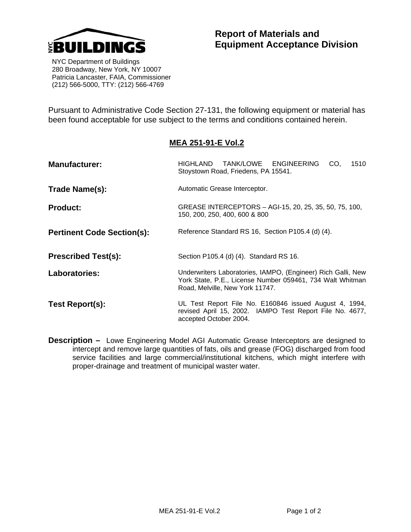

## **Report of Materials and Equipment Acceptance Division**

 NYC Department of Buildings 280 Broadway, New York, NY 10007 Patricia Lancaster, FAIA, Commissioner (212) 566-5000, TTY: (212) 566-4769

Pursuant to Administrative Code Section 27-131, the following equipment or material has been found acceptable for use subject to the terms and conditions contained herein.

## **MEA 251-91-E Vol.2**

| <b>Manufacturer:</b>              | HIGHLAND TANK/LOWE ENGINEERING<br>1510<br>CO,<br>Stoystown Road, Friedens, PA 15541.                                                                         |  |  |  |  |  |
|-----------------------------------|--------------------------------------------------------------------------------------------------------------------------------------------------------------|--|--|--|--|--|
| Trade Name(s):                    | Automatic Grease Interceptor.                                                                                                                                |  |  |  |  |  |
| <b>Product:</b>                   | GREASE INTERCEPTORS - AGI-15, 20, 25, 35, 50, 75, 100,<br>150, 200, 250, 400, 600 & 800                                                                      |  |  |  |  |  |
| <b>Pertinent Code Section(s):</b> | Reference Standard RS 16, Section P105.4 (d) (4).                                                                                                            |  |  |  |  |  |
| <b>Prescribed Test(s):</b>        | Section P105.4 (d) (4). Standard RS 16.                                                                                                                      |  |  |  |  |  |
| Laboratories:                     | Underwriters Laboratories, IAMPO, (Engineer) Rich Galli, New<br>York State, P.E., License Number 059461, 734 Walt Whitman<br>Road, Melville, New York 11747. |  |  |  |  |  |
| Test Report(s):                   | UL Test Report File No. E160846 issued August 4, 1994,<br>revised April 15, 2002. IAMPO Test Report File No. 4677,<br>accepted October 2004.                 |  |  |  |  |  |

**Description –** Lowe Engineering Model AGI Automatic Grease Interceptors are designed to intercept and remove large quantities of fats, oils and grease (FOG) discharged from food service facilities and large commercial/institutional kitchens, which might interfere with proper-drainage and treatment of municipal waster water.